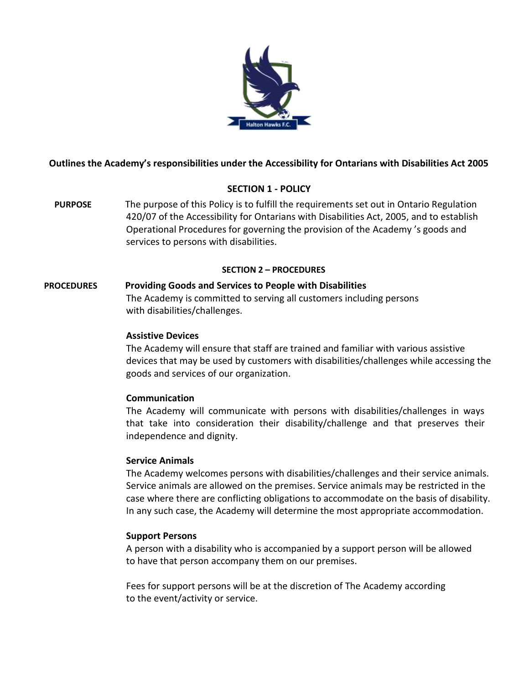

# **Outlines the Academy's responsibilities under the Accessibility for Ontarians with Disabilities Act 2005**

### **SECTION 1 - POLICY**

**PURPOSE** The purpose of this Policy is to fulfill the requirements set out in Ontario Regulation 420/07 of the Accessibility for Ontarians with Disabilities Act, 2005, and to establish Operational Procedures for governing the provision of the Academy 's goods and services to persons with disabilities.

#### **SECTION 2 – PROCEDURES**

#### **PROCEDURES Providing Goods and Services to People with Disabilities**

The Academy is committed to serving all customers including persons with disabilities/challenges.

### **Assistive Devices**

The Academy will ensure that staff are trained and familiar with various assistive devices that may be used by customers with disabilities/challenges while accessing the goods and services of our organization.

### **Communication**

The Academy will communicate with persons with disabilities/challenges in ways that take into consideration their disability/challenge and that preserves their independence and dignity.

#### **Service Animals**

The Academy welcomes persons with disabilities/challenges and their service animals. Service animals are allowed on the premises. Service animals may be restricted in the case where there are conflicting obligations to accommodate on the basis of disability. In any such case, the Academy will determine the most appropriate accommodation.

### **Support Persons**

A person with a disability who is accompanied by a support person will be allowed to have that person accompany them on our premises.

Fees for support persons will be at the discretion of The Academy according to the event/activity or service.